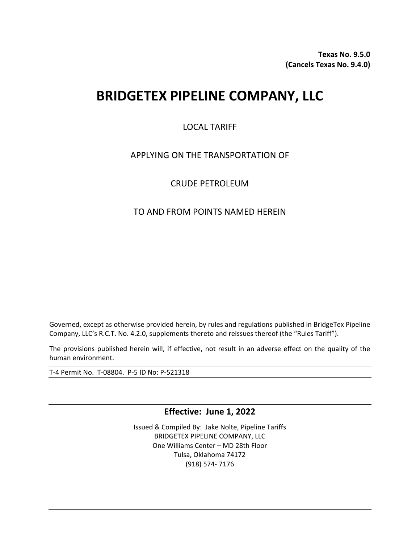**Texas No. 9.5.0 (Cancels Texas No. 9.4.0)**

# **BRIDGETEX PIPELINE COMPANY, LLC**

## LOCAL TARIFF

## APPLYING ON THE TRANSPORTATION OF

## CRUDE PETROLEUM

## TO AND FROM POINTS NAMED HEREIN

Governed, except as otherwise provided herein, by rules and regulations published in BridgeTex Pipeline Company, LLC's R.C.T. No. 4.2.0, supplements thereto and reissues thereof (the "Rules Tariff").

The provisions published herein will, if effective, not result in an adverse effect on the quality of the human environment.

T-4 Permit No. T-08804. P-5 ID No: P-521318

**Effective: June 1, 2022**

Issued & Compiled By: Jake Nolte, Pipeline Tariffs BRIDGETEX PIPELINE COMPANY, LLC One Williams Center – MD 28th Floor Tulsa, Oklahoma 74172 (918) 574- 7176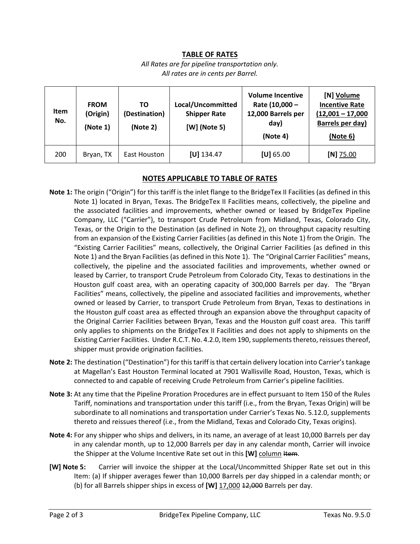#### **TABLE OF RATES**

*All Rates are for pipeline transportation only. All rates are in cents per Barrel.* 

| <b>Item</b><br>No. | <b>FROM</b><br>(Origin)<br>(Note 1) | ΤO<br>(Destination)<br>(Note 2) | Local/Uncommitted<br><b>Shipper Rate</b><br>[W] (Note 5) | <b>Volume Incentive</b><br>Rate (10,000 -<br>12,000 Barrels per<br>day)<br>(Note 4) | [N] Volume<br><b>Incentive Rate</b><br>$(12,001 - 17,000$<br>Barrels per day)<br>(Note 6) |
|--------------------|-------------------------------------|---------------------------------|----------------------------------------------------------|-------------------------------------------------------------------------------------|-------------------------------------------------------------------------------------------|
| 200                | Bryan, TX                           | East Houston                    | $[U]$ 134.47                                             | $[U]$ 65.00                                                                         | $[N]$ 75.00                                                                               |

#### **NOTES APPLICABLE TO TABLE OF RATES**

- **Note 1:** The origin ("Origin") for this tariff is the inlet flange to the BridgeTex II Facilities (as defined in this Note 1) located in Bryan, Texas. The BridgeTex II Facilities means, collectively, the pipeline and the associated facilities and improvements, whether owned or leased by BridgeTex Pipeline Company, LLC ("Carrier"), to transport Crude Petroleum from Midland, Texas, Colorado City, Texas, or the Origin to the Destination (as defined in Note 2), on throughput capacity resulting from an expansion of the Existing Carrier Facilities (as defined in this Note 1) from the Origin. The "Existing Carrier Facilities" means, collectively, the Original Carrier Facilities (as defined in this Note 1) and the Bryan Facilities (as defined in this Note 1). The "Original Carrier Facilities" means, collectively, the pipeline and the associated facilities and improvements, whether owned or leased by Carrier, to transport Crude Petroleum from Colorado City, Texas to destinations in the Houston gulf coast area, with an operating capacity of 300,000 Barrels per day. The "Bryan Facilities" means, collectively, the pipeline and associated facilities and improvements, whether owned or leased by Carrier, to transport Crude Petroleum from Bryan, Texas to destinations in the Houston gulf coast area as effected through an expansion above the throughput capacity of the Original Carrier Facilities between Bryan, Texas and the Houston gulf coast area. This tariff only applies to shipments on the BridgeTex II Facilities and does not apply to shipments on the Existing Carrier Facilities. Under R.C.T. No. 4.2.0, Item 190, supplements thereto, reissues thereof, shipper must provide origination facilities.
- **Note 2:** The destination ("Destination") for this tariff is that certain delivery location into Carrier's tankage at Magellan's East Houston Terminal located at 7901 Wallisville Road, Houston, Texas, which is connected to and capable of receiving Crude Petroleum from Carrier's pipeline facilities.
- **Note 3:** At any time that the Pipeline Proration Procedures are in effect pursuant to Item 150 of the Rules Tariff, nominations and transportation under this tariff (i.e., from the Bryan, Texas Origin) will be subordinate to all nominations and transportation under Carrier's Texas No. 5.12.0, supplements thereto and reissues thereof (i.e., from the Midland, Texas and Colorado City, Texas origins).
- **Note 4:** For any shipper who ships and delivers, in its name, an average of at least 10,000 Barrels per day in any calendar month, up to 12,000 Barrels per day in any calendar month, Carrier will invoice the Shipper at the Volume Incentive Rate set out in this [W] column Hem.
- **[W] Note 5:** Carrier will invoice the shipper at the Local/Uncommitted Shipper Rate set out in this Item: (a) If shipper averages fewer than 10,000 Barrels per day shipped in a calendar month; or (b) for all Barrels shipper ships in excess of **[W]** 17,000 12,000 Barrels per day.